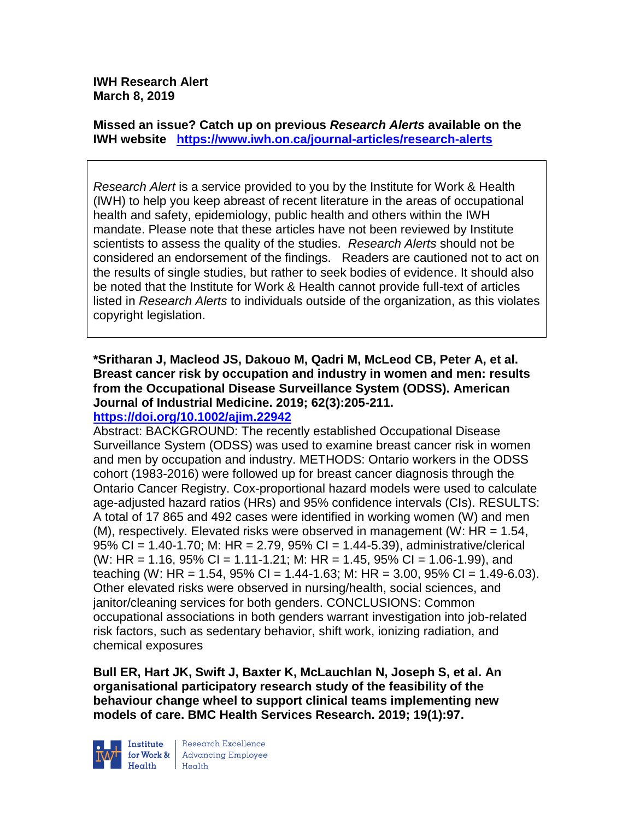**IWH Research Alert March 8, 2019**

**Missed an issue? Catch up on previous** *Research Alerts* **available on the [IWH website](http://www.iwh.on.ca/research-alerts) <https://www.iwh.on.ca/journal-articles/research-alerts>**

*Research Alert* is a service provided to you by the Institute for Work & Health (IWH) to help you keep abreast of recent literature in the areas of occupational health and safety, epidemiology, public health and others within the IWH mandate. Please note that these articles have not been reviewed by Institute scientists to assess the quality of the studies. *Research Alerts* should not be considered an endorsement of the findings. Readers are cautioned not to act on the results of single studies, but rather to seek bodies of evidence. It should also be noted that the Institute for Work & Health cannot provide full-text of articles listed in *Research Alerts* to individuals outside of the organization, as this violates copyright legislation.

**\*Sritharan J, Macleod JS, Dakouo M, Qadri M, McLeod CB, Peter A, et al. Breast cancer risk by occupation and industry in women and men: results from the Occupational Disease Surveillance System (ODSS). American Journal of Industrial Medicine. 2019; 62(3):205-211. <https://doi.org/10.1002/ajim.22942>** 

Abstract: BACKGROUND: The recently established Occupational Disease Surveillance System (ODSS) was used to examine breast cancer risk in women and men by occupation and industry. METHODS: Ontario workers in the ODSS cohort (1983-2016) were followed up for breast cancer diagnosis through the Ontario Cancer Registry. Cox-proportional hazard models were used to calculate age-adjusted hazard ratios (HRs) and 95% confidence intervals (CIs). RESULTS: A total of 17 865 and 492 cases were identified in working women (W) and men (M), respectively. Elevated risks were observed in management (W:  $HR = 1.54$ , 95% CI = 1.40-1.70; M: HR = 2.79, 95% CI = 1.44-5.39), administrative/clerical (W: HR = 1.16, 95% CI = 1.11-1.21; M: HR = 1.45, 95% CI = 1.06-1.99), and teaching (W: HR = 1.54, 95% CI = 1.44-1.63; M: HR = 3.00, 95% CI = 1.49-6.03). Other elevated risks were observed in nursing/health, social sciences, and janitor/cleaning services for both genders. CONCLUSIONS: Common occupational associations in both genders warrant investigation into job-related risk factors, such as sedentary behavior, shift work, ionizing radiation, and chemical exposures

**Bull ER, Hart JK, Swift J, Baxter K, McLauchlan N, Joseph S, et al. An organisational participatory research study of the feasibility of the behaviour change wheel to support clinical teams implementing new models of care. BMC Health Services Research. 2019; 19(1):97.**



Research Excellence **Advancing Employee**  $H_{\text{each}}$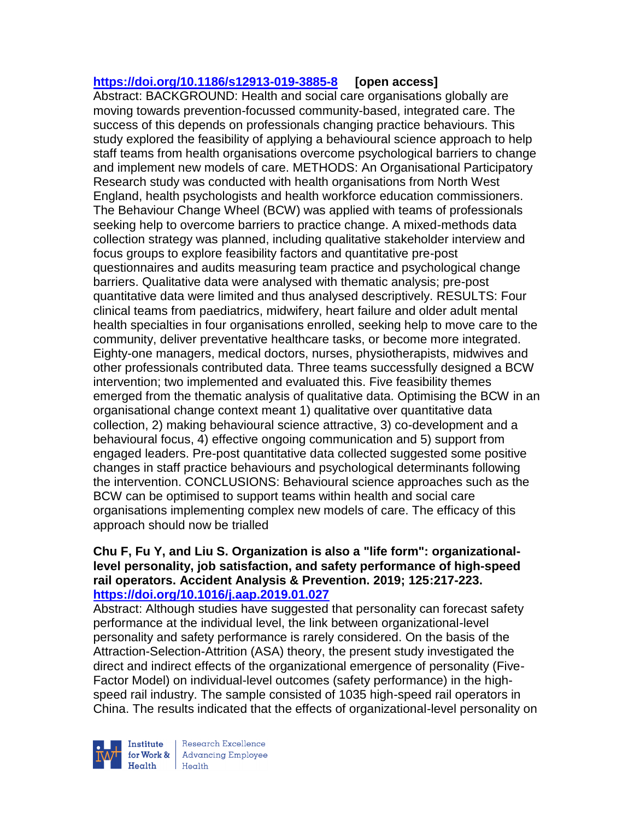# **<https://doi.org/10.1186/s12913-019-3885-8> [open access]**

Abstract: BACKGROUND: Health and social care organisations globally are moving towards prevention-focussed community-based, integrated care. The success of this depends on professionals changing practice behaviours. This study explored the feasibility of applying a behavioural science approach to help staff teams from health organisations overcome psychological barriers to change and implement new models of care. METHODS: An Organisational Participatory Research study was conducted with health organisations from North West England, health psychologists and health workforce education commissioners. The Behaviour Change Wheel (BCW) was applied with teams of professionals seeking help to overcome barriers to practice change. A mixed-methods data collection strategy was planned, including qualitative stakeholder interview and focus groups to explore feasibility factors and quantitative pre-post questionnaires and audits measuring team practice and psychological change barriers. Qualitative data were analysed with thematic analysis; pre-post quantitative data were limited and thus analysed descriptively. RESULTS: Four clinical teams from paediatrics, midwifery, heart failure and older adult mental health specialties in four organisations enrolled, seeking help to move care to the community, deliver preventative healthcare tasks, or become more integrated. Eighty-one managers, medical doctors, nurses, physiotherapists, midwives and other professionals contributed data. Three teams successfully designed a BCW intervention; two implemented and evaluated this. Five feasibility themes emerged from the thematic analysis of qualitative data. Optimising the BCW in an organisational change context meant 1) qualitative over quantitative data collection, 2) making behavioural science attractive, 3) co-development and a behavioural focus, 4) effective ongoing communication and 5) support from engaged leaders. Pre-post quantitative data collected suggested some positive changes in staff practice behaviours and psychological determinants following the intervention. CONCLUSIONS: Behavioural science approaches such as the BCW can be optimised to support teams within health and social care organisations implementing complex new models of care. The efficacy of this approach should now be trialled

#### **Chu F, Fu Y, and Liu S. Organization is also a "life form": organizationallevel personality, job satisfaction, and safety performance of high-speed rail operators. Accident Analysis & Prevention. 2019; 125:217-223. <https://doi.org/10.1016/j.aap.2019.01.027>**

Abstract: Although studies have suggested that personality can forecast safety performance at the individual level, the link between organizational-level personality and safety performance is rarely considered. On the basis of the Attraction-Selection-Attrition (ASA) theory, the present study investigated the direct and indirect effects of the organizational emergence of personality (Five-Factor Model) on individual-level outcomes (safety performance) in the highspeed rail industry. The sample consisted of 1035 high-speed rail operators in China. The results indicated that the effects of organizational-level personality on

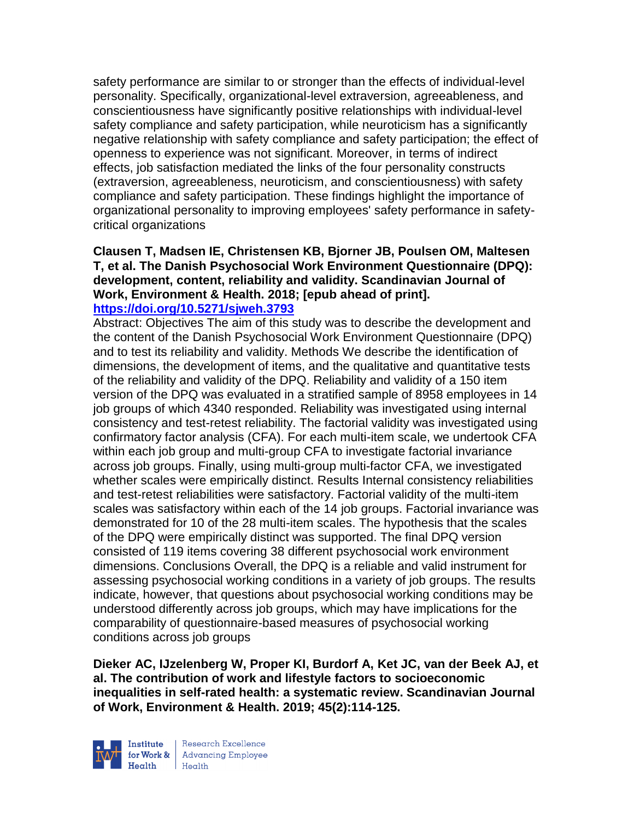safety performance are similar to or stronger than the effects of individual-level personality. Specifically, organizational-level extraversion, agreeableness, and conscientiousness have significantly positive relationships with individual-level safety compliance and safety participation, while neuroticism has a significantly negative relationship with safety compliance and safety participation; the effect of openness to experience was not significant. Moreover, in terms of indirect effects, job satisfaction mediated the links of the four personality constructs (extraversion, agreeableness, neuroticism, and conscientiousness) with safety compliance and safety participation. These findings highlight the importance of organizational personality to improving employees' safety performance in safetycritical organizations

#### **Clausen T, Madsen IE, Christensen KB, Bjorner JB, Poulsen OM, Maltesen T, et al. The Danish Psychosocial Work Environment Questionnaire (DPQ): development, content, reliability and validity. Scandinavian Journal of Work, Environment & Health. 2018; [epub ahead of print]. <https://doi.org/10.5271/sjweh.3793>**

Abstract: Objectives The aim of this study was to describe the development and the content of the Danish Psychosocial Work Environment Questionnaire (DPQ) and to test its reliability and validity. Methods We describe the identification of dimensions, the development of items, and the qualitative and quantitative tests of the reliability and validity of the DPQ. Reliability and validity of a 150 item version of the DPQ was evaluated in a stratified sample of 8958 employees in 14 job groups of which 4340 responded. Reliability was investigated using internal consistency and test-retest reliability. The factorial validity was investigated using confirmatory factor analysis (CFA). For each multi-item scale, we undertook CFA within each job group and multi-group CFA to investigate factorial invariance across job groups. Finally, using multi-group multi-factor CFA, we investigated whether scales were empirically distinct. Results Internal consistency reliabilities and test-retest reliabilities were satisfactory. Factorial validity of the multi-item scales was satisfactory within each of the 14 job groups. Factorial invariance was demonstrated for 10 of the 28 multi-item scales. The hypothesis that the scales of the DPQ were empirically distinct was supported. The final DPQ version consisted of 119 items covering 38 different psychosocial work environment dimensions. Conclusions Overall, the DPQ is a reliable and valid instrument for assessing psychosocial working conditions in a variety of job groups. The results indicate, however, that questions about psychosocial working conditions may be understood differently across job groups, which may have implications for the comparability of questionnaire-based measures of psychosocial working conditions across job groups

**Dieker AC, IJzelenberg W, Proper KI, Burdorf A, Ket JC, van der Beek AJ, et al. The contribution of work and lifestyle factors to socioeconomic inequalities in self-rated health: a systematic review. Scandinavian Journal of Work, Environment & Health. 2019; 45(2):114-125.** 

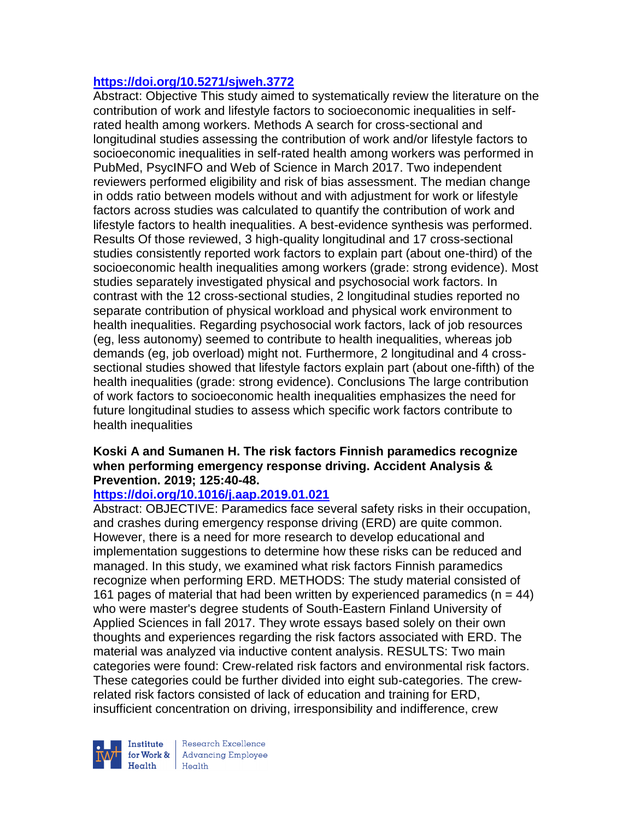# **<https://doi.org/10.5271/sjweh.3772>**

Abstract: Objective This study aimed to systematically review the literature on the contribution of work and lifestyle factors to socioeconomic inequalities in selfrated health among workers. Methods A search for cross-sectional and longitudinal studies assessing the contribution of work and/or lifestyle factors to socioeconomic inequalities in self-rated health among workers was performed in PubMed, PsycINFO and Web of Science in March 2017. Two independent reviewers performed eligibility and risk of bias assessment. The median change in odds ratio between models without and with adjustment for work or lifestyle factors across studies was calculated to quantify the contribution of work and lifestyle factors to health inequalities. A best-evidence synthesis was performed. Results Of those reviewed, 3 high-quality longitudinal and 17 cross-sectional studies consistently reported work factors to explain part (about one-third) of the socioeconomic health inequalities among workers (grade: strong evidence). Most studies separately investigated physical and psychosocial work factors. In contrast with the 12 cross-sectional studies, 2 longitudinal studies reported no separate contribution of physical workload and physical work environment to health inequalities. Regarding psychosocial work factors, lack of job resources (eg, less autonomy) seemed to contribute to health inequalities, whereas job demands (eg, job overload) might not. Furthermore, 2 longitudinal and 4 crosssectional studies showed that lifestyle factors explain part (about one-fifth) of the health inequalities (grade: strong evidence). Conclusions The large contribution of work factors to socioeconomic health inequalities emphasizes the need for future longitudinal studies to assess which specific work factors contribute to health inequalities

# **Koski A and Sumanen H. The risk factors Finnish paramedics recognize when performing emergency response driving. Accident Analysis & Prevention. 2019; 125:40-48.**

#### **<https://doi.org/10.1016/j.aap.2019.01.021>**

Abstract: OBJECTIVE: Paramedics face several safety risks in their occupation, and crashes during emergency response driving (ERD) are quite common. However, there is a need for more research to develop educational and implementation suggestions to determine how these risks can be reduced and managed. In this study, we examined what risk factors Finnish paramedics recognize when performing ERD. METHODS: The study material consisted of 161 pages of material that had been written by experienced paramedics ( $n = 44$ ) who were master's degree students of South-Eastern Finland University of Applied Sciences in fall 2017. They wrote essays based solely on their own thoughts and experiences regarding the risk factors associated with ERD. The material was analyzed via inductive content analysis. RESULTS: Two main categories were found: Crew-related risk factors and environmental risk factors. These categories could be further divided into eight sub-categories. The crewrelated risk factors consisted of lack of education and training for ERD, insufficient concentration on driving, irresponsibility and indifference, crew

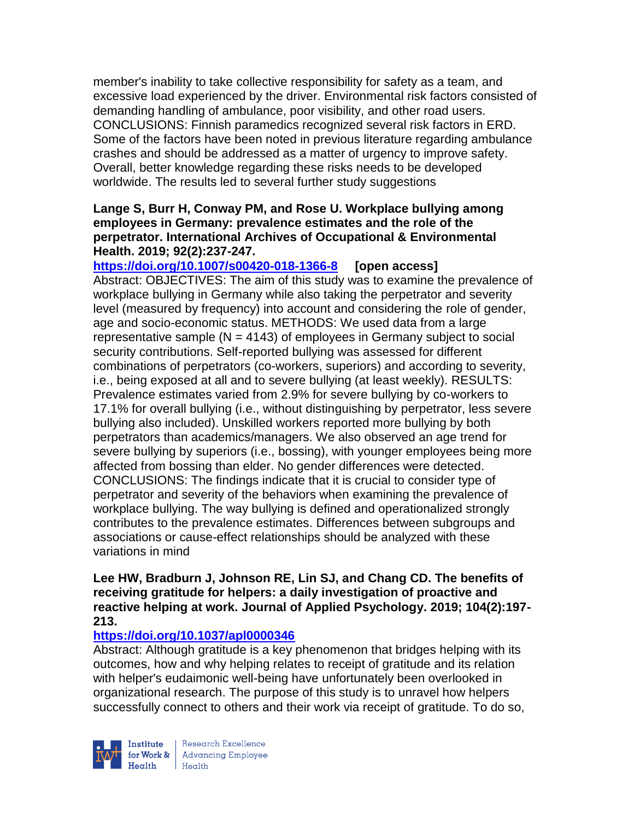member's inability to take collective responsibility for safety as a team, and excessive load experienced by the driver. Environmental risk factors consisted of demanding handling of ambulance, poor visibility, and other road users. CONCLUSIONS: Finnish paramedics recognized several risk factors in ERD. Some of the factors have been noted in previous literature regarding ambulance crashes and should be addressed as a matter of urgency to improve safety. Overall, better knowledge regarding these risks needs to be developed worldwide. The results led to several further study suggestions

# **Lange S, Burr H, Conway PM, and Rose U. Workplace bullying among employees in Germany: prevalence estimates and the role of the perpetrator. International Archives of Occupational & Environmental Health. 2019; 92(2):237-247.**

**<https://doi.org/10.1007/s00420-018-1366-8> [open access]** Abstract: OBJECTIVES: The aim of this study was to examine the prevalence of workplace bullying in Germany while also taking the perpetrator and severity level (measured by frequency) into account and considering the role of gender, age and socio-economic status. METHODS: We used data from a large representative sample ( $N = 4143$ ) of employees in Germany subject to social security contributions. Self-reported bullying was assessed for different combinations of perpetrators (co-workers, superiors) and according to severity, i.e., being exposed at all and to severe bullying (at least weekly). RESULTS: Prevalence estimates varied from 2.9% for severe bullying by co-workers to 17.1% for overall bullying (i.e., without distinguishing by perpetrator, less severe bullying also included). Unskilled workers reported more bullying by both perpetrators than academics/managers. We also observed an age trend for severe bullying by superiors (i.e., bossing), with younger employees being more affected from bossing than elder. No gender differences were detected. CONCLUSIONS: The findings indicate that it is crucial to consider type of perpetrator and severity of the behaviors when examining the prevalence of workplace bullying. The way bullying is defined and operationalized strongly contributes to the prevalence estimates. Differences between subgroups and associations or cause-effect relationships should be analyzed with these variations in mind

#### **Lee HW, Bradburn J, Johnson RE, Lin SJ, and Chang CD. The benefits of receiving gratitude for helpers: a daily investigation of proactive and reactive helping at work. Journal of Applied Psychology. 2019; 104(2):197- 213.**

# **<https://doi.org/10.1037/apl0000346>**

Abstract: Although gratitude is a key phenomenon that bridges helping with its outcomes, how and why helping relates to receipt of gratitude and its relation with helper's eudaimonic well-being have unfortunately been overlooked in organizational research. The purpose of this study is to unravel how helpers successfully connect to others and their work via receipt of gratitude. To do so,

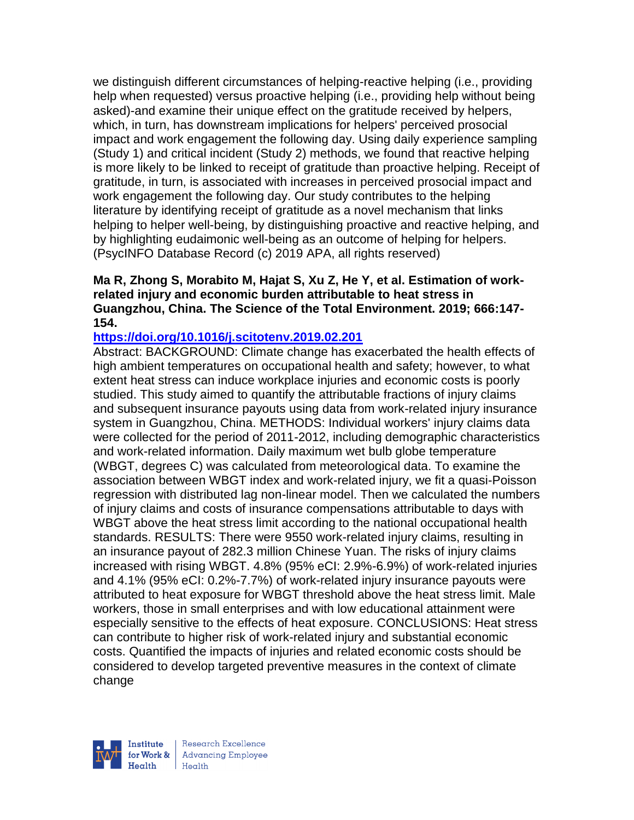we distinguish different circumstances of helping-reactive helping (i.e., providing help when requested) versus proactive helping (i.e., providing help without being asked)-and examine their unique effect on the gratitude received by helpers, which, in turn, has downstream implications for helpers' perceived prosocial impact and work engagement the following day. Using daily experience sampling (Study 1) and critical incident (Study 2) methods, we found that reactive helping is more likely to be linked to receipt of gratitude than proactive helping. Receipt of gratitude, in turn, is associated with increases in perceived prosocial impact and work engagement the following day. Our study contributes to the helping literature by identifying receipt of gratitude as a novel mechanism that links helping to helper well-being, by distinguishing proactive and reactive helping, and by highlighting eudaimonic well-being as an outcome of helping for helpers. (PsycINFO Database Record (c) 2019 APA, all rights reserved)

#### **Ma R, Zhong S, Morabito M, Hajat S, Xu Z, He Y, et al. Estimation of workrelated injury and economic burden attributable to heat stress in Guangzhou, China. The Science of the Total Environment. 2019; 666:147- 154.**

#### **<https://doi.org/10.1016/j.scitotenv.2019.02.201>**

Abstract: BACKGROUND: Climate change has exacerbated the health effects of high ambient temperatures on occupational health and safety; however, to what extent heat stress can induce workplace injuries and economic costs is poorly studied. This study aimed to quantify the attributable fractions of injury claims and subsequent insurance payouts using data from work-related injury insurance system in Guangzhou, China. METHODS: Individual workers' injury claims data were collected for the period of 2011-2012, including demographic characteristics and work-related information. Daily maximum wet bulb globe temperature (WBGT, degrees C) was calculated from meteorological data. To examine the association between WBGT index and work-related injury, we fit a quasi-Poisson regression with distributed lag non-linear model. Then we calculated the numbers of injury claims and costs of insurance compensations attributable to days with WBGT above the heat stress limit according to the national occupational health standards. RESULTS: There were 9550 work-related injury claims, resulting in an insurance payout of 282.3 million Chinese Yuan. The risks of injury claims increased with rising WBGT. 4.8% (95% eCI: 2.9%-6.9%) of work-related injuries and 4.1% (95% eCI: 0.2%-7.7%) of work-related injury insurance payouts were attributed to heat exposure for WBGT threshold above the heat stress limit. Male workers, those in small enterprises and with low educational attainment were especially sensitive to the effects of heat exposure. CONCLUSIONS: Heat stress can contribute to higher risk of work-related injury and substantial economic costs. Quantified the impacts of injuries and related economic costs should be considered to develop targeted preventive measures in the context of climate change

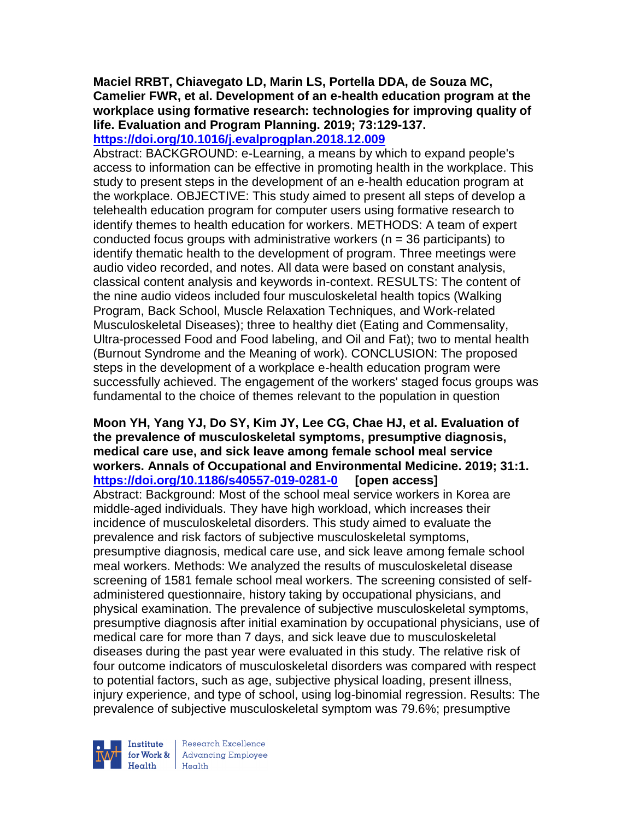# **Maciel RRBT, Chiavegato LD, Marin LS, Portella DDA, de Souza MC, Camelier FWR, et al. Development of an e-health education program at the workplace using formative research: technologies for improving quality of life. Evaluation and Program Planning. 2019; 73:129-137.**

**<https://doi.org/10.1016/j.evalprogplan.2018.12.009>** 

Abstract: BACKGROUND: e-Learning, a means by which to expand people's access to information can be effective in promoting health in the workplace. This study to present steps in the development of an e-health education program at the workplace. OBJECTIVE: This study aimed to present all steps of develop a telehealth education program for computer users using formative research to identify themes to health education for workers. METHODS: A team of expert conducted focus groups with administrative workers ( $n = 36$  participants) to identify thematic health to the development of program. Three meetings were audio video recorded, and notes. All data were based on constant analysis, classical content analysis and keywords in-context. RESULTS: The content of the nine audio videos included four musculoskeletal health topics (Walking Program, Back School, Muscle Relaxation Techniques, and Work-related Musculoskeletal Diseases); three to healthy diet (Eating and Commensality, Ultra-processed Food and Food labeling, and Oil and Fat); two to mental health (Burnout Syndrome and the Meaning of work). CONCLUSION: The proposed steps in the development of a workplace e-health education program were successfully achieved. The engagement of the workers' staged focus groups was fundamental to the choice of themes relevant to the population in question

#### **Moon YH, Yang YJ, Do SY, Kim JY, Lee CG, Chae HJ, et al. Evaluation of the prevalence of musculoskeletal symptoms, presumptive diagnosis, medical care use, and sick leave among female school meal service workers. Annals of Occupational and Environmental Medicine. 2019; 31:1. <https://doi.org/10.1186/s40557-019-0281-0> [open access]** Abstract: Background: Most of the school meal service workers in Korea are middle-aged individuals. They have high workload, which increases their incidence of musculoskeletal disorders. This study aimed to evaluate the prevalence and risk factors of subjective musculoskeletal symptoms, presumptive diagnosis, medical care use, and sick leave among female school meal workers. Methods: We analyzed the results of musculoskeletal disease screening of 1581 female school meal workers. The screening consisted of selfadministered questionnaire, history taking by occupational physicians, and physical examination. The prevalence of subjective musculoskeletal symptoms, presumptive diagnosis after initial examination by occupational physicians, use of medical care for more than 7 days, and sick leave due to musculoskeletal diseases during the past year were evaluated in this study. The relative risk of four outcome indicators of musculoskeletal disorders was compared with respect to potential factors, such as age, subjective physical loading, present illness, injury experience, and type of school, using log-binomial regression. Results: The prevalence of subjective musculoskeletal symptom was 79.6%; presumptive

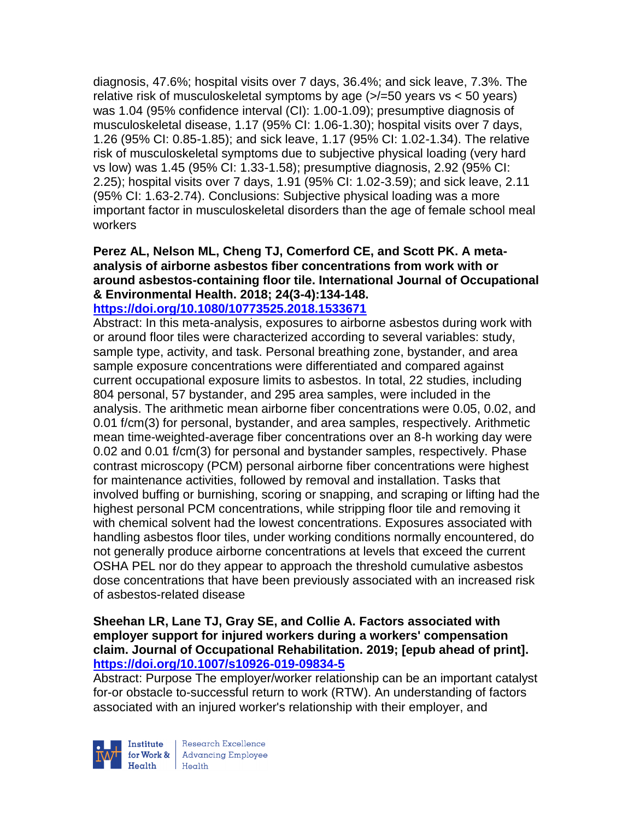diagnosis, 47.6%; hospital visits over 7 days, 36.4%; and sick leave, 7.3%. The relative risk of musculoskeletal symptoms by age  $\left\langle \frac{\epsilon}{50} \right\rangle$  years vs < 50 years) was 1.04 (95% confidence interval (CI): 1.00-1.09); presumptive diagnosis of musculoskeletal disease, 1.17 (95% CI: 1.06-1.30); hospital visits over 7 days, 1.26 (95% CI: 0.85-1.85); and sick leave, 1.17 (95% CI: 1.02-1.34). The relative risk of musculoskeletal symptoms due to subjective physical loading (very hard vs low) was 1.45 (95% CI: 1.33-1.58); presumptive diagnosis, 2.92 (95% CI: 2.25); hospital visits over 7 days, 1.91 (95% CI: 1.02-3.59); and sick leave, 2.11 (95% CI: 1.63-2.74). Conclusions: Subjective physical loading was a more important factor in musculoskeletal disorders than the age of female school meal workers

#### **Perez AL, Nelson ML, Cheng TJ, Comerford CE, and Scott PK. A metaanalysis of airborne asbestos fiber concentrations from work with or around asbestos-containing floor tile. International Journal of Occupational & Environmental Health. 2018; 24(3-4):134-148. <https://doi.org/10.1080/10773525.2018.1533671>**

Abstract: In this meta-analysis, exposures to airborne asbestos during work with or around floor tiles were characterized according to several variables: study, sample type, activity, and task. Personal breathing zone, bystander, and area sample exposure concentrations were differentiated and compared against current occupational exposure limits to asbestos. In total, 22 studies, including 804 personal, 57 bystander, and 295 area samples, were included in the analysis. The arithmetic mean airborne fiber concentrations were 0.05, 0.02, and 0.01 f/cm(3) for personal, bystander, and area samples, respectively. Arithmetic mean time-weighted-average fiber concentrations over an 8-h working day were 0.02 and 0.01 f/cm(3) for personal and bystander samples, respectively. Phase contrast microscopy (PCM) personal airborne fiber concentrations were highest for maintenance activities, followed by removal and installation. Tasks that involved buffing or burnishing, scoring or snapping, and scraping or lifting had the highest personal PCM concentrations, while stripping floor tile and removing it with chemical solvent had the lowest concentrations. Exposures associated with handling asbestos floor tiles, under working conditions normally encountered, do not generally produce airborne concentrations at levels that exceed the current OSHA PEL nor do they appear to approach the threshold cumulative asbestos dose concentrations that have been previously associated with an increased risk of asbestos-related disease

#### **Sheehan LR, Lane TJ, Gray SE, and Collie A. Factors associated with employer support for injured workers during a workers' compensation claim. Journal of Occupational Rehabilitation. 2019; [epub ahead of print]. <https://doi.org/10.1007/s10926-019-09834-5>**

Abstract: Purpose The employer/worker relationship can be an important catalyst for-or obstacle to-successful return to work (RTW). An understanding of factors associated with an injured worker's relationship with their employer, and

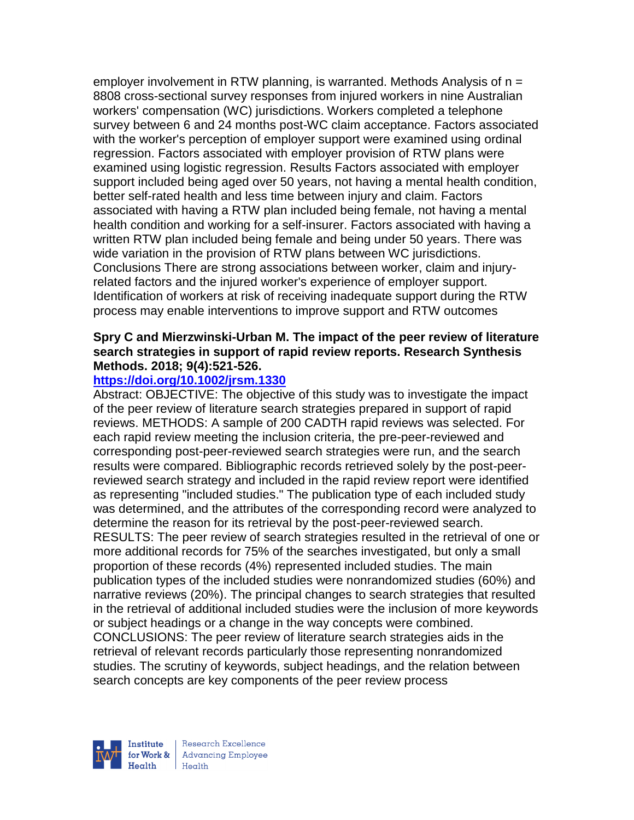employer involvement in RTW planning, is warranted. Methods Analysis of  $n =$ 8808 cross-sectional survey responses from injured workers in nine Australian workers' compensation (WC) jurisdictions. Workers completed a telephone survey between 6 and 24 months post-WC claim acceptance. Factors associated with the worker's perception of employer support were examined using ordinal regression. Factors associated with employer provision of RTW plans were examined using logistic regression. Results Factors associated with employer support included being aged over 50 years, not having a mental health condition, better self-rated health and less time between injury and claim. Factors associated with having a RTW plan included being female, not having a mental health condition and working for a self-insurer. Factors associated with having a written RTW plan included being female and being under 50 years. There was wide variation in the provision of RTW plans between WC jurisdictions. Conclusions There are strong associations between worker, claim and injuryrelated factors and the injured worker's experience of employer support. Identification of workers at risk of receiving inadequate support during the RTW process may enable interventions to improve support and RTW outcomes

#### **Spry C and Mierzwinski-Urban M. The impact of the peer review of literature search strategies in support of rapid review reports. Research Synthesis Methods. 2018; 9(4):521-526.**

# **<https://doi.org/10.1002/jrsm.1330>**

Abstract: OBJECTIVE: The objective of this study was to investigate the impact of the peer review of literature search strategies prepared in support of rapid reviews. METHODS: A sample of 200 CADTH rapid reviews was selected. For each rapid review meeting the inclusion criteria, the pre-peer-reviewed and corresponding post-peer-reviewed search strategies were run, and the search results were compared. Bibliographic records retrieved solely by the post-peerreviewed search strategy and included in the rapid review report were identified as representing "included studies." The publication type of each included study was determined, and the attributes of the corresponding record were analyzed to determine the reason for its retrieval by the post-peer-reviewed search. RESULTS: The peer review of search strategies resulted in the retrieval of one or more additional records for 75% of the searches investigated, but only a small proportion of these records (4%) represented included studies. The main publication types of the included studies were nonrandomized studies (60%) and narrative reviews (20%). The principal changes to search strategies that resulted in the retrieval of additional included studies were the inclusion of more keywords or subject headings or a change in the way concepts were combined. CONCLUSIONS: The peer review of literature search strategies aids in the retrieval of relevant records particularly those representing nonrandomized studies. The scrutiny of keywords, subject headings, and the relation between search concepts are key components of the peer review process

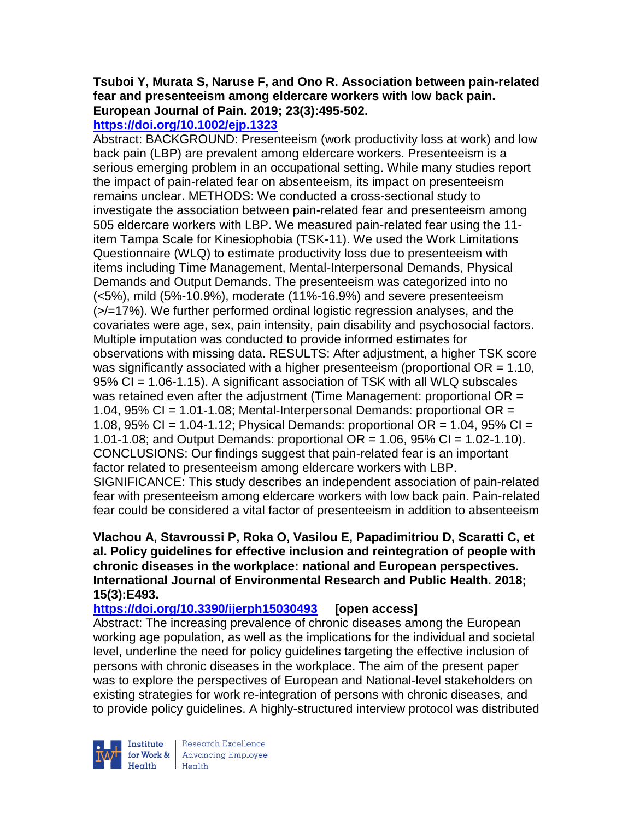# **Tsuboi Y, Murata S, Naruse F, and Ono R. Association between pain-related fear and presenteeism among eldercare workers with low back pain. European Journal of Pain. 2019; 23(3):495-502.**

# **<https://doi.org/10.1002/ejp.1323>**

Abstract: BACKGROUND: Presenteeism (work productivity loss at work) and low back pain (LBP) are prevalent among eldercare workers. Presenteeism is a serious emerging problem in an occupational setting. While many studies report the impact of pain-related fear on absenteeism, its impact on presenteeism remains unclear. METHODS: We conducted a cross-sectional study to investigate the association between pain-related fear and presenteeism among 505 eldercare workers with LBP. We measured pain-related fear using the 11 item Tampa Scale for Kinesiophobia (TSK-11). We used the Work Limitations Questionnaire (WLQ) to estimate productivity loss due to presenteeism with items including Time Management, Mental-Interpersonal Demands, Physical Demands and Output Demands. The presenteeism was categorized into no (<5%), mild (5%-10.9%), moderate (11%-16.9%) and severe presenteeism (>/=17%). We further performed ordinal logistic regression analyses, and the covariates were age, sex, pain intensity, pain disability and psychosocial factors. Multiple imputation was conducted to provide informed estimates for observations with missing data. RESULTS: After adjustment, a higher TSK score was significantly associated with a higher presenteeism (proportional  $OR = 1.10$ , 95% CI = 1.06-1.15). A significant association of TSK with all WLQ subscales was retained even after the adjustment (Time Management: proportional OR = 1.04,  $95\%$  CI = 1.01-1.08; Mental-Interpersonal Demands: proportional OR = 1.08,  $95\%$  CI = 1.04-1.12; Physical Demands: proportional OR = 1.04,  $95\%$  CI = 1.01-1.08; and Output Demands: proportional  $OR = 1.06$ , 95%  $CI = 1.02 - 1.10$ . CONCLUSIONS: Our findings suggest that pain-related fear is an important factor related to presenteeism among eldercare workers with LBP. SIGNIFICANCE: This study describes an independent association of pain-related fear with presenteeism among eldercare workers with low back pain. Pain-related fear could be considered a vital factor of presenteeism in addition to absenteeism

#### **Vlachou A, Stavroussi P, Roka O, Vasilou E, Papadimitriou D, Scaratti C, et al. Policy guidelines for effective inclusion and reintegration of people with chronic diseases in the workplace: national and European perspectives. International Journal of Environmental Research and Public Health. 2018; 15(3):E493.**

**<https://doi.org/10.3390/ijerph15030493> [open access]**

Abstract: The increasing prevalence of chronic diseases among the European working age population, as well as the implications for the individual and societal level, underline the need for policy guidelines targeting the effective inclusion of persons with chronic diseases in the workplace. The aim of the present paper was to explore the perspectives of European and National-level stakeholders on existing strategies for work re-integration of persons with chronic diseases, and to provide policy guidelines. A highly-structured interview protocol was distributed